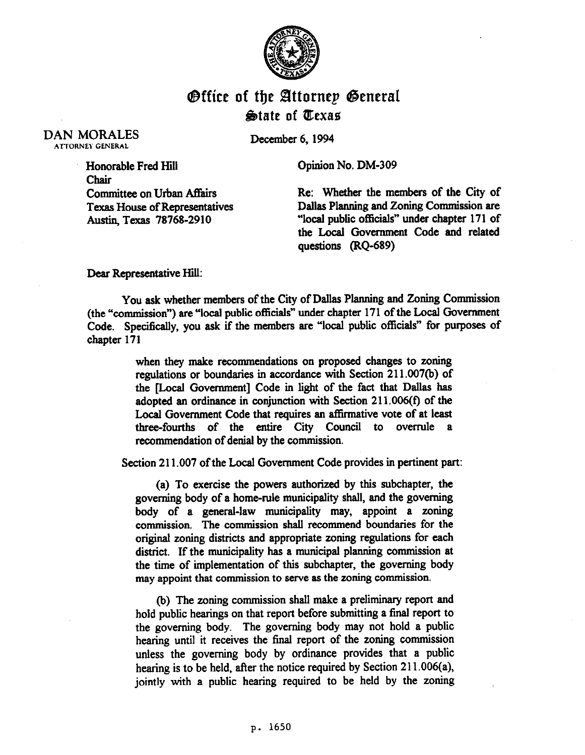

## **Office of the Attornep General State of Texas**

## DAN MORALES .ATTORNEY GENERAL

December 6, 1994

Opinion No. DM-309

Honorable Fred Hill Chair Committee on Urban Affairs Texas House of Representatives Austin, Texas 78768-2910

Re: Whether the members of the City of Dallas Planning and Zoning Commission are "local public officials" under chapter 171 of the Local Government Code and related questions (RQ-689)

Dear Representative Hill:

You ask whether members of the City of Dallas Planning and Zoning Commission (the "commission") are "local public officials" under chapter 171 of the Local Government Code. Specifically, you ask if the members are "local public officials" for purposes of chapter 171

> when they make recommendations on proposed changes to zoning regulations or boundaries in accordance with Section 211.007(b) of the [Local Government] Code in light of the fact that Dallas has adopted an ordinance in conjunction with Section 211.006(f) of the Local Government Code that requires an affirmative vote of at least three-fourths of the entire City Council to overrule a recommendation of denial by the commission.

Section 211.007 of the Local Government Code provides in pertinent part:

(a) To exercise the powers authorized by this subchapter, the governing body of a home-rule municipality shall, and the governing body of a general-law municipality may, appoint a zoning commission. The commission shall recommend boundaries for the original zoning districts and appropriate zoning regulations for each district. If the municipality has a municipal planning commission at the time of implementation of this subchapter, the governing body may appoint that commission to serve as the zoning commission.

(b) The zoning commission shall make a preliminary report and hold public hearings on that report before submitting a final report to the governing body. The governing body may not hold a public hearing until it receives the final report of the zoning commission unless the governing body by ordinance provides that a public hearing is to be held, after the notice required by Section 211.006(a), jointly with a public hearing required to be held by the zoning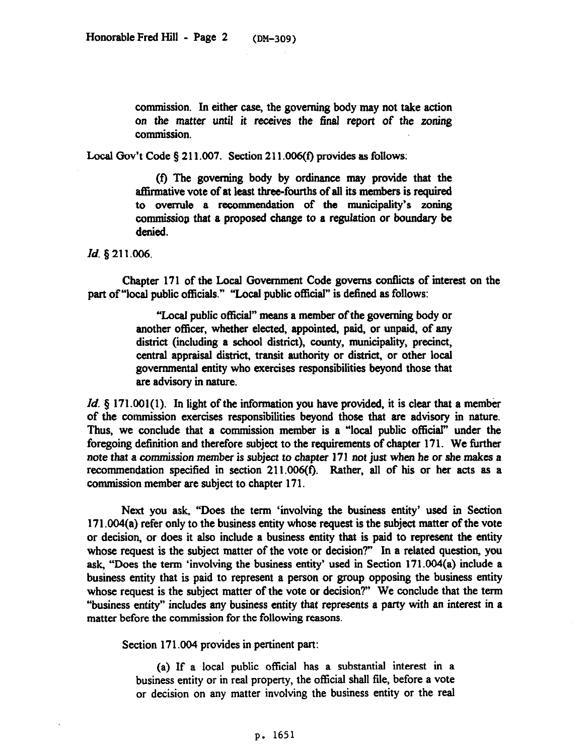commission. In either case, the governing body may not take action on the matter until it receives the final report of the zoning commission.

Local Gov't Code  $\S 211.007$ . Section 211.006(f) provides as follows:

(t) The governing body by ordinance may provide that the affirmative vote of at least three-fourths of all its members is required to overrule a recommendation of the municipality's zoning commission that a proposed change to a regulation or boundary be denied.

*Id. 5* 211.006.

Chapter 171 of the Local Government Code governs conflicts of interest on the part of "local public officials." "Local public official" is defined as follows:

> "Local public official" means a member of the governing body or another officer, whether elected, appointed, paid, or unpaid, of any district (including a school district), county, municipality, precinct, central appraisal district, transit authority or district, or other local governmental entity who exercises responsibilities beyond those that are advisory in nature.

*Id.* § 171.001(1). In light of the information you have provided, it is clear that a member of the commission exercises responsibilities beyond those that are advisory in nature. Thus, we conclude that a commission member is a "local public official" under the foregoing definition and therefore subject to the requirements of chapter 171. We further *note* **that a** commission *member* is subject *to* chapter **171** *not* **just when he or she makes a**  recommendation specified in section 211.006(f). Rather, all of his or her acts as a commission member are subject *to* chapter 171.

Next you ask, "Does the term 'involving the business entity' used in Section 171.004(a) refer only to the business entity whose request is the subject matter of the vote or decision, or does it also include a business entity that is paid to represent the entity whose request is the **subject** matter of the vote or decision?" In a related question, you ask, "Does the term 'involving the business entity' used in Section 171.004(a) include a business entity that is paid to represent a person or group opposing the business entity whose request is the subject matter of the vote or decision?" We conclude that the term "business entity" includes any business entity that represents a party with an interest in a matter before the commission for the following reasons.

Section 171.004 provides in pertinent part:

(a) If a local public official has a substantial interest in a business entity or in real property, the official shall file, before a vote or decision on any matter involving the business entity or the real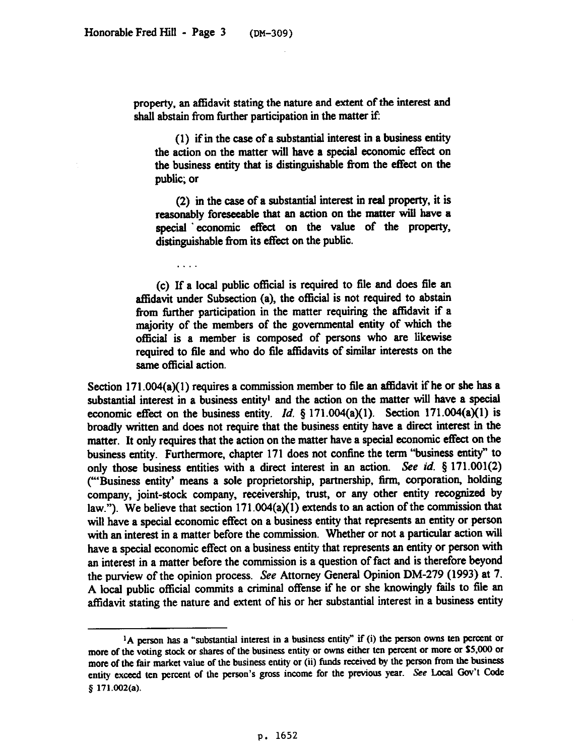a sa sa

property, an affidavit stating the nature and extent of the interest and shall abstain from further participation in the matter if:

(1) if in the case of a substantial interest in a business entity the action on the matter will have a special economic etfect on the business entity that is distinguishable from the etfect on the public; or

*(2)* in the case of a substantial interest in real property, it is reasonably foreseeable that an action on the matter will have a special economic effect on the value of the property, distinguishable from its effect on the public.

(c) If a local public official is required to file and does file an affidavit under Subsection (a), the official is not required to abstain from further participation in the matter requiring the affidavit if a majority of the members of the governmental entity of which the official is a member is composed of persons who are likewise required to file and who do file affidavits of similar interests on the same official action.

Section  $171.004(a)(1)$  requires a commission member to file an affidavit if he or she has a substantial interest in a business entity' and the action on the matter will have a special economic effect on the business entity. *Id.*  $\frac{1}{2}$  171.004(a)(1). Section 171.004(a)(1) is broadly written and does not require that the business entity have a direct interest in the matter. It only requires that the action on the matter have a special economic effect on the business entity. Furthermore, chapter 171 does not confme the term 'business entity" to only those business entities with a direct interest in an action. See *id.* 8 171.001(2) ("'Business entity' means a sole proprietorship, partnership, firm, corporation, holding company, joint-stock company, receivership, trust, or any other entity recognized by law."). We believe that section 171.004(a)(1) extends to an action of the commission that will have a special economic effect on a business entity that represents an entity or person with an interest in a matter before the commission. Whether or not a particular action will have a special economic effect on a business entity that represents an entity or person with an interest in a matter before the commission is a question of fact and is therefore beyond the purview of the opinion process. See Attorney General Opinion DM-279 (1993) at 7. A local public official commits a criminal offense if he or she knowingly fails to file an affidavit stating the nature and extent of his or her substantial interest in a business entity

<sup>&</sup>lt;sup>1</sup>A person has a "substantial interest in a business entity" if (i) the person owns ten percent or **more of the voting stock or shares of the business entity or owns either ten percent or more or SS,OOO or more of the fair market value of the business entity or (ii) fimds received by the person from the business**  entity exceed ten percent of the person's gross income for the previous year. See Local Gov't Code **5 171.002(a).**